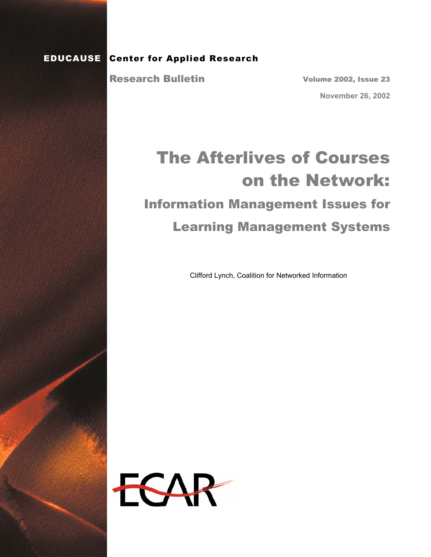#### EDUCAUSE Center for Applied Research

Research Bulletin

Volume 2002, Issue 23 **November 26, 2002** 

# The Afterlives of Courses on the Network: Information Management Issues for Learning Management Systems

Clifford Lynch, Coalition for Networked Information

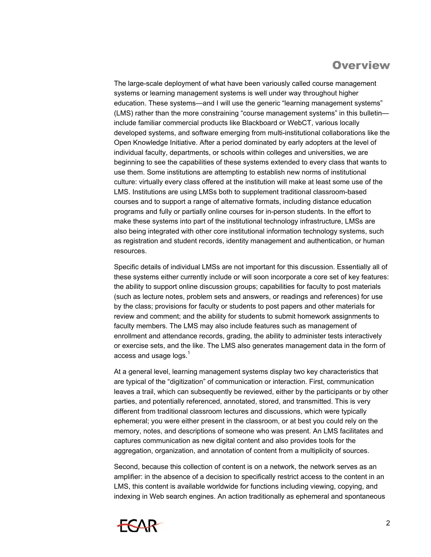## **Overview**

The large-scale deployment of what have been variously called course management systems or learning management systems is well under way throughout higher education. These systems—and I will use the generic "learning management systems" (LMS) rather than the more constraining "course management systems" in this bulletin include familiar commercial products like Blackboard or WebCT, various locally developed systems, and software emerging from multi-institutional collaborations like the Open Knowledge Initiative. After a period dominated by early adopters at the level of individual faculty, departments, or schools within colleges and universities, we are beginning to see the capabilities of these systems extended to every class that wants to use them. Some institutions are attempting to establish new norms of institutional culture: virtually every class offered at the institution will make at least some use of the LMS. Institutions are using LMSs both to supplement traditional classroom-based courses and to support a range of alternative formats, including distance education programs and fully or partially online courses for in-person students. In the effort to make these systems into part of the institutional technology infrastructure, LMSs are also being integrated with other core institutional information technology systems, such as registration and student records, identity management and authentication, or human resources.

Specific details of individual LMSs are not important for this discussion. Essentially all of these systems either currently include or will soon incorporate a core set of key features: the ability to support online discussion groups; capabilities for faculty to post materials (such as lecture notes, problem sets and answers, or readings and references) for use by the class; provisions for faculty or students to post papers and other materials for review and comment; and the ability for students to submit homework assignments to faculty members. The LMS may also include features such as management of enrollment and attendance records, grading, the ability to administer tests interactively or exercise sets, and the like. The LMS also generates management data in the form of access and usage logs. $^{\rm 1}$ 

At a general level, learning management systems display two key characteristics that are typical of the "digitization" of communication or interaction. First, communication leaves a trail, which can subsequently be reviewed, either by the participants or by other parties, and potentially referenced, annotated, stored, and transmitted. This is very different from traditional classroom lectures and discussions, which were typically ephemeral; you were either present in the classroom, or at best you could rely on the memory, notes, and descriptions of someone who was present. An LMS facilitates and captures communication as new digital content and also provides tools for the aggregation, organization, and annotation of content from a multiplicity of sources.

Second, because this collection of content is on a network, the network serves as an amplifier: in the absence of a decision to specifically restrict access to the content in an LMS, this content is available worldwide for functions including viewing, copying, and indexing in Web search engines. An action traditionally as ephemeral and spontaneous

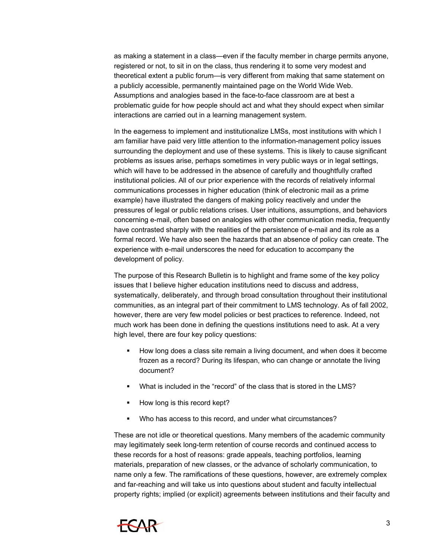as making a statement in a class—even if the faculty member in charge permits anyone, registered or not, to sit in on the class, thus rendering it to some very modest and theoretical extent a public forum—is very different from making that same statement on a publicly accessible, permanently maintained page on the World Wide Web. Assumptions and analogies based in the face-to-face classroom are at best a problematic guide for how people should act and what they should expect when similar interactions are carried out in a learning management system.

In the eagerness to implement and institutionalize LMSs, most institutions with which I am familiar have paid very little attention to the information-management policy issues surrounding the deployment and use of these systems. This is likely to cause significant problems as issues arise, perhaps sometimes in very public ways or in legal settings, which will have to be addressed in the absence of carefully and thoughtfully crafted institutional policies. All of our prior experience with the records of relatively informal communications processes in higher education (think of electronic mail as a prime example) have illustrated the dangers of making policy reactively and under the pressures of legal or public relations crises. User intuitions, assumptions, and behaviors concerning e-mail, often based on analogies with other communication media, frequently have contrasted sharply with the realities of the persistence of e-mail and its role as a formal record. We have also seen the hazards that an absence of policy can create. The experience with e-mail underscores the need for education to accompany the development of policy.

The purpose of this Research Bulletin is to highlight and frame some of the key policy issues that I believe higher education institutions need to discuss and address, systematically, deliberately, and through broad consultation throughout their institutional communities, as an integral part of their commitment to LMS technology. As of fall 2002, however, there are very few model policies or best practices to reference. Indeed, not much work has been done in defining the questions institutions need to ask. At a very high level, there are four key policy questions:

- How long does a class site remain a living document, and when does it become frozen as a record? During its lifespan, who can change or annotate the living document?
- What is included in the "record" of the class that is stored in the LMS?
- How long is this record kept?
- Who has access to this record, and under what circumstances?

These are not idle or theoretical questions. Many members of the academic community may legitimately seek long-term retention of course records and continued access to these records for a host of reasons: grade appeals, teaching portfolios, learning materials, preparation of new classes, or the advance of scholarly communication, to name only a few. The ramifications of these questions, however, are extremely complex and far-reaching and will take us into questions about student and faculty intellectual property rights; implied (or explicit) agreements between institutions and their faculty and

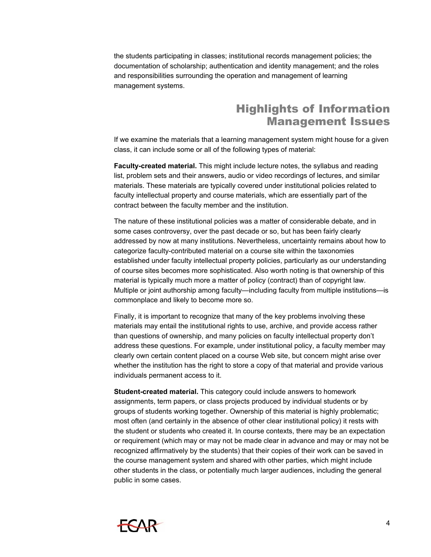the students participating in classes; institutional records management policies; the documentation of scholarship; authentication and identity management; and the roles and responsibilities surrounding the operation and management of learning management systems.

## Highlights of Information Management Issues

If we examine the materials that a learning management system might house for a given class, it can include some or all of the following types of material:

**Faculty-created material.** This might include lecture notes, the syllabus and reading list, problem sets and their answers, audio or video recordings of lectures, and similar materials. These materials are typically covered under institutional policies related to faculty intellectual property and course materials, which are essentially part of the contract between the faculty member and the institution.

The nature of these institutional policies was a matter of considerable debate, and in some cases controversy, over the past decade or so, but has been fairly clearly addressed by now at many institutions. Nevertheless, uncertainty remains about how to categorize faculty-contributed material on a course site within the taxonomies established under faculty intellectual property policies, particularly as our understanding of course sites becomes more sophisticated. Also worth noting is that ownership of this material is typically much more a matter of policy (contract) than of copyright law. Multiple or joint authorship among faculty—including faculty from multiple institutions—is commonplace and likely to become more so.

Finally, it is important to recognize that many of the key problems involving these materials may entail the institutional rights to use, archive, and provide access rather than questions of ownership, and many policies on faculty intellectual property don't address these questions. For example, under institutional policy, a faculty member may clearly own certain content placed on a course Web site, but concern might arise over whether the institution has the right to store a copy of that material and provide various individuals permanent access to it.

**Student-created material.** This category could include answers to homework assignments, term papers, or class projects produced by individual students or by groups of students working together. Ownership of this material is highly problematic; most often (and certainly in the absence of other clear institutional policy) it rests with the student or students who created it. In course contexts, there may be an expectation or requirement (which may or may not be made clear in advance and may or may not be recognized affirmatively by the students) that their copies of their work can be saved in the course management system and shared with other parties, which might include other students in the class, or potentially much larger audiences, including the general public in some cases.

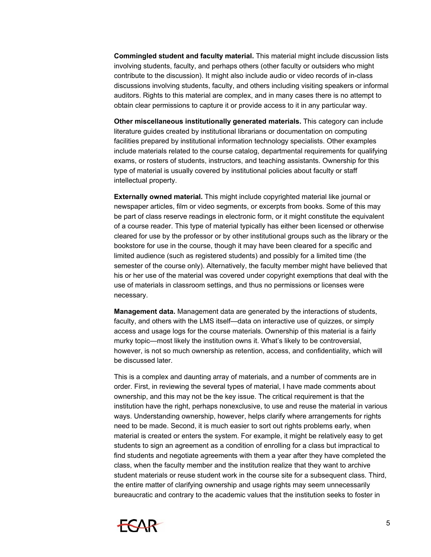**Commingled student and faculty material.** This material might include discussion lists involving students, faculty, and perhaps others (other faculty or outsiders who might contribute to the discussion). It might also include audio or video records of in-class discussions involving students, faculty, and others including visiting speakers or informal auditors. Rights to this material are complex, and in many cases there is no attempt to obtain clear permissions to capture it or provide access to it in any particular way.

**Other miscellaneous institutionally generated materials.** This category can include literature guides created by institutional librarians or documentation on computing facilities prepared by institutional information technology specialists. Other examples include materials related to the course catalog, departmental requirements for qualifying exams, or rosters of students, instructors, and teaching assistants. Ownership for this type of material is usually covered by institutional policies about faculty or staff intellectual property.

**Externally owned material.** This might include copyrighted material like journal or newspaper articles, film or video segments, or excerpts from books. Some of this may be part of class reserve readings in electronic form, or it might constitute the equivalent of a course reader. This type of material typically has either been licensed or otherwise cleared for use by the professor or by other institutional groups such as the library or the bookstore for use in the course, though it may have been cleared for a specific and limited audience (such as registered students) and possibly for a limited time (the semester of the course only). Alternatively, the faculty member might have believed that his or her use of the material was covered under copyright exemptions that deal with the use of materials in classroom settings, and thus no permissions or licenses were necessary.

**Management data.** Management data are generated by the interactions of students, faculty, and others with the LMS itself—data on interactive use of quizzes, or simply access and usage logs for the course materials. Ownership of this material is a fairly murky topic—most likely the institution owns it. What's likely to be controversial, however, is not so much ownership as retention, access, and confidentiality, which will be discussed later.

This is a complex and daunting array of materials, and a number of comments are in order. First, in reviewing the several types of material, I have made comments about ownership, and this may not be the key issue. The critical requirement is that the institution have the right, perhaps nonexclusive, to use and reuse the material in various ways. Understanding ownership, however, helps clarify where arrangements for rights need to be made. Second, it is much easier to sort out rights problems early, when material is created or enters the system. For example, it might be relatively easy to get students to sign an agreement as a condition of enrolling for a class but impractical to find students and negotiate agreements with them a year after they have completed the class, when the faculty member and the institution realize that they want to archive student materials or reuse student work in the course site for a subsequent class. Third, the entire matter of clarifying ownership and usage rights may seem unnecessarily bureaucratic and contrary to the academic values that the institution seeks to foster in

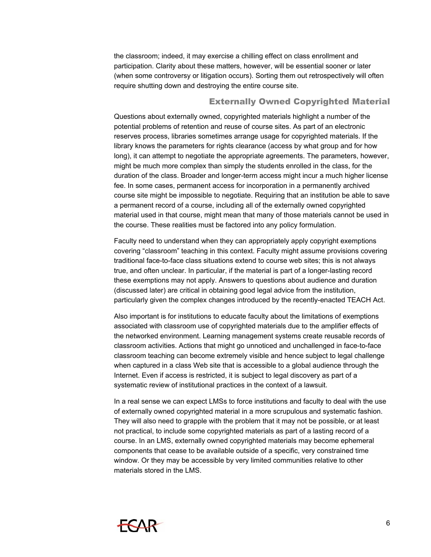the classroom; indeed, it may exercise a chilling effect on class enrollment and participation. Clarity about these matters, however, will be essential sooner or later (when some controversy or litigation occurs). Sorting them out retrospectively will often require shutting down and destroying the entire course site.

#### Externally Owned Copyrighted Material

Questions about externally owned, copyrighted materials highlight a number of the potential problems of retention and reuse of course sites. As part of an electronic reserves process, libraries sometimes arrange usage for copyrighted materials. If the library knows the parameters for rights clearance (access by what group and for how long), it can attempt to negotiate the appropriate agreements. The parameters, however, might be much more complex than simply the students enrolled in the class, for the duration of the class. Broader and longer-term access might incur a much higher license fee. In some cases, permanent access for incorporation in a permanently archived course site might be impossible to negotiate. Requiring that an institution be able to save a permanent record of a course, including all of the externally owned copyrighted material used in that course, might mean that many of those materials cannot be used in the course. These realities must be factored into any policy formulation.

Faculty need to understand when they can appropriately apply copyright exemptions covering "classroom" teaching in this context. Faculty might assume provisions covering traditional face-to-face class situations extend to course web sites; this is not always true, and often unclear. In particular, if the material is part of a longer-lasting record these exemptions may not apply. Answers to questions about audience and duration (discussed later) are critical in obtaining good legal advice from the institution, particularly given the complex changes introduced by the recently-enacted TEACH Act.

Also important is for institutions to educate faculty about the limitations of exemptions associated with classroom use of copyrighted materials due to the amplifier effects of the networked environment. Learning management systems create reusable records of classroom activities. Actions that might go unnoticed and unchallenged in face-to-face classroom teaching can become extremely visible and hence subject to legal challenge when captured in a class Web site that is accessible to a global audience through the Internet. Even if access is restricted, it is subject to legal discovery as part of a systematic review of institutional practices in the context of a lawsuit.

In a real sense we can expect LMSs to force institutions and faculty to deal with the use of externally owned copyrighted material in a more scrupulous and systematic fashion. They will also need to grapple with the problem that it may not be possible, or at least not practical, to include some copyrighted materials as part of a lasting record of a course. In an LMS, externally owned copyrighted materials may become ephemeral components that cease to be available outside of a specific, very constrained time window. Or they may be accessible by very limited communities relative to other materials stored in the LMS.

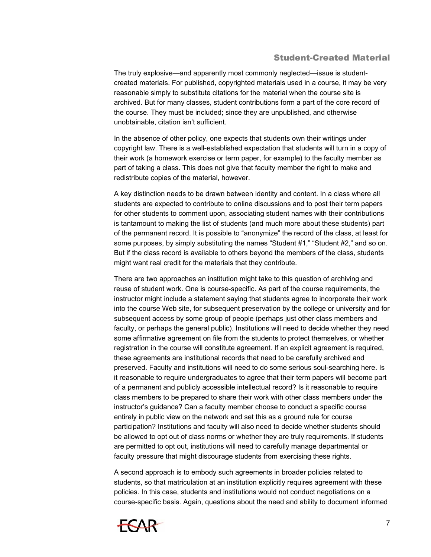#### Student-Created Material

The truly explosive—and apparently most commonly neglected—issue is studentcreated materials. For published, copyrighted materials used in a course, it may be very reasonable simply to substitute citations for the material when the course site is archived. But for many classes, student contributions form a part of the core record of the course. They must be included; since they are unpublished, and otherwise unobtainable, citation isn't sufficient.

In the absence of other policy, one expects that students own their writings under copyright law. There is a well-established expectation that students will turn in a copy of their work (a homework exercise or term paper, for example) to the faculty member as part of taking a class. This does not give that faculty member the right to make and redistribute copies of the material, however.

A key distinction needs to be drawn between identity and content. In a class where all students are expected to contribute to online discussions and to post their term papers for other students to comment upon, associating student names with their contributions is tantamount to making the list of students (and much more about these students) part of the permanent record. It is possible to "anonymize" the record of the class, at least for some purposes, by simply substituting the names "Student #1," "Student #2," and so on. But if the class record is available to others beyond the members of the class, students might want real credit for the materials that they contribute.

There are two approaches an institution might take to this question of archiving and reuse of student work. One is course-specific. As part of the course requirements, the instructor might include a statement saying that students agree to incorporate their work into the course Web site, for subsequent preservation by the college or university and for subsequent access by some group of people (perhaps just other class members and faculty, or perhaps the general public). Institutions will need to decide whether they need some affirmative agreement on file from the students to protect themselves, or whether registration in the course will constitute agreement. If an explicit agreement is required, these agreements are institutional records that need to be carefully archived and preserved. Faculty and institutions will need to do some serious soul-searching here. Is it reasonable to require undergraduates to agree that their term papers will become part of a permanent and publicly accessible intellectual record? Is it reasonable to require class members to be prepared to share their work with other class members under the instructor's guidance? Can a faculty member choose to conduct a specific course entirely in public view on the network and set this as a ground rule for course participation? Institutions and faculty will also need to decide whether students should be allowed to opt out of class norms or whether they are truly requirements. If students are permitted to opt out, institutions will need to carefully manage departmental or faculty pressure that might discourage students from exercising these rights.

A second approach is to embody such agreements in broader policies related to students, so that matriculation at an institution explicitly requires agreement with these policies. In this case, students and institutions would not conduct negotiations on a course-specific basis. Again, questions about the need and ability to document informed

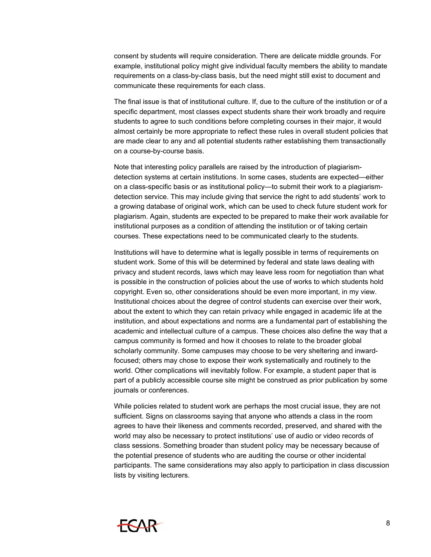consent by students will require consideration. There are delicate middle grounds. For example, institutional policy might give individual faculty members the ability to mandate requirements on a class-by-class basis, but the need might still exist to document and communicate these requirements for each class.

The final issue is that of institutional culture. If, due to the culture of the institution or of a specific department, most classes expect students share their work broadly and require students to agree to such conditions before completing courses in their major, it would almost certainly be more appropriate to reflect these rules in overall student policies that are made clear to any and all potential students rather establishing them transactionally on a course-by-course basis.

Note that interesting policy parallels are raised by the introduction of plagiarismdetection systems at certain institutions. In some cases, students are expected—either on a class-specific basis or as institutional policy—to submit their work to a plagiarismdetection service. This may include giving that service the right to add students' work to a growing database of original work, which can be used to check future student work for plagiarism. Again, students are expected to be prepared to make their work available for institutional purposes as a condition of attending the institution or of taking certain courses. These expectations need to be communicated clearly to the students.

Institutions will have to determine what is legally possible in terms of requirements on student work. Some of this will be determined by federal and state laws dealing with privacy and student records, laws which may leave less room for negotiation than what is possible in the construction of policies about the use of works to which students hold copyright. Even so, other considerations should be even more important, in my view. Institutional choices about the degree of control students can exercise over their work, about the extent to which they can retain privacy while engaged in academic life at the institution, and about expectations and norms are a fundamental part of establishing the academic and intellectual culture of a campus. These choices also define the way that a campus community is formed and how it chooses to relate to the broader global scholarly community. Some campuses may choose to be very sheltering and inwardfocused; others may chose to expose their work systematically and routinely to the world. Other complications will inevitably follow. For example, a student paper that is part of a publicly accessible course site might be construed as prior publication by some journals or conferences.

While policies related to student work are perhaps the most crucial issue, they are not sufficient. Signs on classrooms saying that anyone who attends a class in the room agrees to have their likeness and comments recorded, preserved, and shared with the world may also be necessary to protect institutions' use of audio or video records of class sessions. Something broader than student policy may be necessary because of the potential presence of students who are auditing the course or other incidental participants. The same considerations may also apply to participation in class discussion lists by visiting lecturers.

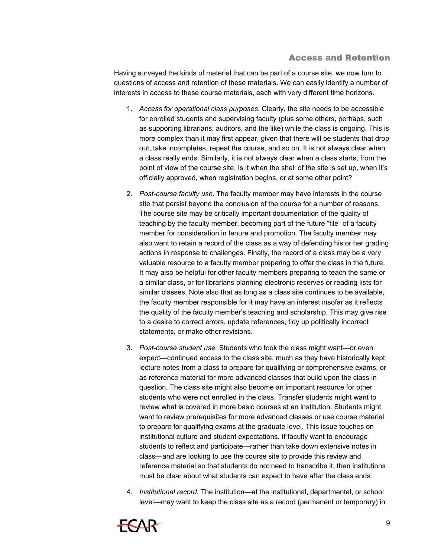#### Access and Retention

Having surveyed the kinds of material that can be part of a course site, we now turn to questions of access and retention of these materials. We can easily identify a number of interests in access to these course materials, each with very different time horizons.

- 1. *Access for operational class purposes*. Clearly, the site needs to be accessible for enrolled students and supervising faculty (plus some others, perhaps, such as supporting librarians, auditors, and the like) while the class is ongoing. This is more complex than it may first appear, given that there will be students that drop out, take incompletes, repeat the course, and so on. It is not always clear when a class really ends. Similarly, it is not always clear when a class starts, from the point of view of the course site. Is it when the shell of the site is set up, when it's officially approved, when registration begins, or at some other point?
- 2. *Post-course faculty use.* The faculty member may have interests in the course site that persist beyond the conclusion of the course for a number of reasons. The course site may be critically important documentation of the quality of teaching by the faculty member, becoming part of the future "file" of a faculty member for consideration in tenure and promotion. The faculty member may also want to retain a record of the class as a way of defending his or her grading actions in response to challenges. Finally, the record of a class may be a very valuable resource to a faculty member preparing to offer the class in the future. It may also be helpful for other faculty members preparing to teach the same or a similar class, or for librarians planning electronic reserves or reading lists for similar classes. Note also that as long as a class site continues to be available, the faculty member responsible for it may have an interest insofar as it reflects the quality of the faculty member's teaching and scholarship. This may give rise to a desire to correct errors, update references, tidy up politically incorrect statements, or make other revisions.
- 3. *Post-course student use.* Students who took the class might want—or even expect—continued access to the class site, much as they have historically kept lecture notes from a class to prepare for qualifying or comprehensive exams, or as reference material for more advanced classes that build upon the class in question. The class site might also become an important resource for other students who were not enrolled in the class. Transfer students might want to review what is covered in more basic courses at an institution. Students might want to review prerequisites for more advanced classes or use course material to prepare for qualifying exams at the graduate level. This issue touches on institutional culture and student expectations. If faculty want to encourage students to reflect and participate—rather than take down extensive notes in class—and are looking to use the course site to provide this review and reference material so that students do not need to transcribe it, then institutions must be clear about what students can expect to have after the class ends.
- 4. *Institutional record.* The institution—at the institutional, departmental, or school level—may want to keep the class site as a record (permanent or temporary) in

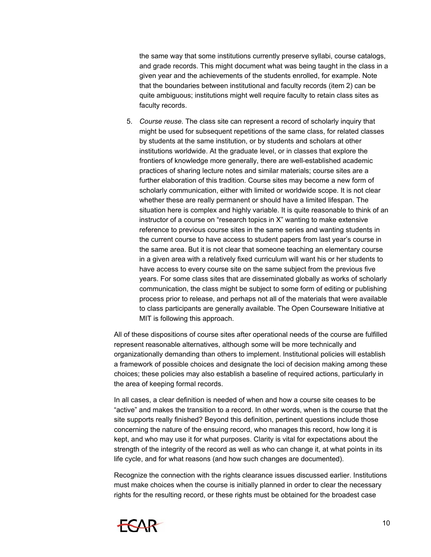the same way that some institutions currently preserve syllabi, course catalogs, and grade records. This might document what was being taught in the class in a given year and the achievements of the students enrolled, for example. Note that the boundaries between institutional and faculty records (item 2) can be quite ambiguous; institutions might well require faculty to retain class sites as faculty records.

5. *Course reuse.* The class site can represent a record of scholarly inquiry that might be used for subsequent repetitions of the same class, for related classes by students at the same institution, or by students and scholars at other institutions worldwide. At the graduate level, or in classes that explore the frontiers of knowledge more generally, there are well-established academic practices of sharing lecture notes and similar materials; course sites are a further elaboration of this tradition. Course sites may become a new form of scholarly communication, either with limited or worldwide scope. It is not clear whether these are really permanent or should have a limited lifespan. The situation here is complex and highly variable. It is quite reasonable to think of an instructor of a course on "research topics in X" wanting to make extensive reference to previous course sites in the same series and wanting students in the current course to have access to student papers from last year's course in the same area. But it is not clear that someone teaching an elementary course in a given area with a relatively fixed curriculum will want his or her students to have access to every course site on the same subject from the previous five years. For some class sites that are disseminated globally as works of scholarly communication, the class might be subject to some form of editing or publishing process prior to release, and perhaps not all of the materials that were available to class participants are generally available. The Open Courseware Initiative at MIT is following this approach.

All of these dispositions of course sites after operational needs of the course are fulfilled represent reasonable alternatives, although some will be more technically and organizationally demanding than others to implement. Institutional policies will establish a framework of possible choices and designate the loci of decision making among these choices; these policies may also establish a baseline of required actions, particularly in the area of keeping formal records.

In all cases, a clear definition is needed of when and how a course site ceases to be "active" and makes the transition to a record. In other words, when is the course that the site supports really finished? Beyond this definition, pertinent questions include those concerning the nature of the ensuing record, who manages this record, how long it is kept, and who may use it for what purposes. Clarity is vital for expectations about the strength of the integrity of the record as well as who can change it, at what points in its life cycle, and for what reasons (and how such changes are documented).

Recognize the connection with the rights clearance issues discussed earlier. Institutions must make choices when the course is initially planned in order to clear the necessary rights for the resulting record, or these rights must be obtained for the broadest case

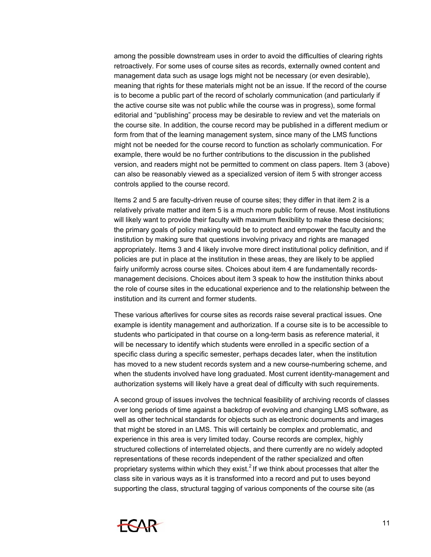among the possible downstream uses in order to avoid the difficulties of clearing rights retroactively. For some uses of course sites as records, externally owned content and management data such as usage logs might not be necessary (or even desirable), meaning that rights for these materials might not be an issue. If the record of the course is to become a public part of the record of scholarly communication (and particularly if the active course site was not public while the course was in progress), some formal editorial and "publishing" process may be desirable to review and vet the materials on the course site. In addition, the course record may be published in a different medium or form from that of the learning management system, since many of the LMS functions might not be needed for the course record to function as scholarly communication. For example, there would be no further contributions to the discussion in the published version, and readers might not be permitted to comment on class papers. Item 3 (above) can also be reasonably viewed as a specialized version of item 5 with stronger access controls applied to the course record.

Items 2 and 5 are faculty-driven reuse of course sites; they differ in that item 2 is a relatively private matter and item 5 is a much more public form of reuse. Most institutions will likely want to provide their faculty with maximum flexibility to make these decisions; the primary goals of policy making would be to protect and empower the faculty and the institution by making sure that questions involving privacy and rights are managed appropriately. Items 3 and 4 likely involve more direct institutional policy definition, and if policies are put in place at the institution in these areas, they are likely to be applied fairly uniformly across course sites. Choices about item 4 are fundamentally recordsmanagement decisions. Choices about item 3 speak to how the institution thinks about the role of course sites in the educational experience and to the relationship between the institution and its current and former students.

These various afterlives for course sites as records raise several practical issues. One example is identity management and authorization. If a course site is to be accessible to students who participated in that course on a long-term basis as reference material, it will be necessary to identify which students were enrolled in a specific section of a specific class during a specific semester, perhaps decades later, when the institution has moved to a new student records system and a new course-numbering scheme, and when the students involved have long graduated. Most current identity-management and authorization systems will likely have a great deal of difficulty with such requirements.

A second group of issues involves the technical feasibility of archiving records of classes over long periods of time against a backdrop of evolving and changing LMS software, as well as other technical standards for objects such as electronic documents and images that might be stored in an LMS. This will certainly be complex and problematic, and experience in this area is very limited today. Course records are complex, highly structured collections of interrelated objects, and there currently are no widely adopted representations of these records independent of the rather specialized and often proprietary systems within which they exist. $2$  If we think about processes that alter the class site in various ways as it is transformed into a record and put to uses beyond supporting the class, structural tagging of various components of the course site (as

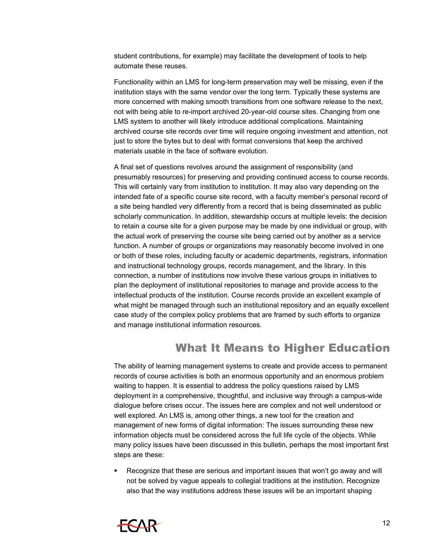student contributions, for example) may facilitate the development of tools to help automate these reuses.

Functionality within an LMS for long-term preservation may well be missing, even if the institution stays with the same vendor over the long term. Typically these systems are more concerned with making smooth transitions from one software release to the next, not with being able to re-import archived 20-year-old course sites. Changing from one LMS system to another will likely introduce additional complications. Maintaining archived course site records over time will require ongoing investment and attention, not just to store the bytes but to deal with format conversions that keep the archived materials usable in the face of software evolution.

A final set of questions revolves around the assignment of responsibility (and presumably resources) for preserving and providing continued access to course records. This will certainly vary from institution to institution. It may also vary depending on the intended fate of a specific course site record, with a faculty member's personal record of a site being handled very differently from a record that is being disseminated as public scholarly communication. In addition, stewardship occurs at multiple levels: the decision to retain a course site for a given purpose may be made by one individual or group, with the actual work of preserving the course site being carried out by another as a service function. A number of groups or organizations may reasonably become involved in one or both of these roles, including faculty or academic departments, registrars, information and instructional technology groups, records management, and the library. In this connection, a number of institutions now involve these various groups in initiatives to plan the deployment of institutional repositories to manage and provide access to the intellectual products of the institution. Course records provide an excellent example of what might be managed through such an institutional repository and an equally excellent case study of the complex policy problems that are framed by such efforts to organize and manage institutional information resources.

## What It Means to Higher Education

The ability of learning management systems to create and provide access to permanent records of course activities is both an enormous opportunity and an enormous problem waiting to happen. It is essential to address the policy questions raised by LMS deployment in a comprehensive, thoughtful, and inclusive way through a campus-wide dialogue before crises occur. The issues here are complex and not well understood or well explored. An LMS is, among other things, a new tool for the creation and management of new forms of digital information: The issues surrounding these new information objects must be considered across the full life cycle of the objects. While many policy issues have been discussed in this bulletin, perhaps the most important first steps are these:

 Recognize that these are serious and important issues that won't go away and will not be solved by vague appeals to collegial traditions at the institution. Recognize also that the way institutions address these issues will be an important shaping

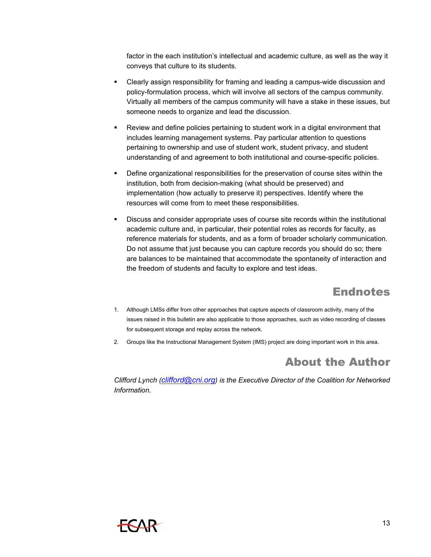factor in the each institution's intellectual and academic culture, as well as the way it conveys that culture to its students.

- Clearly assign responsibility for framing and leading a campus-wide discussion and policy-formulation process, which will involve all sectors of the campus community. Virtually all members of the campus community will have a stake in these issues, but someone needs to organize and lead the discussion.
- Review and define policies pertaining to student work in a digital environment that includes learning management systems. Pay particular attention to questions pertaining to ownership and use of student work, student privacy, and student understanding of and agreement to both institutional and course-specific policies.
- Define organizational responsibilities for the preservation of course sites within the institution, both from decision-making (what should be preserved) and implementation (how actually to preserve it) perspectives. Identify where the resources will come from to meet these responsibilities.
- Discuss and consider appropriate uses of course site records within the institutional academic culture and, in particular, their potential roles as records for faculty, as reference materials for students, and as a form of broader scholarly communication. Do not assume that just because you can capture records you should do so; there are balances to be maintained that accommodate the spontaneity of interaction and the freedom of students and faculty to explore and test ideas.

# Endnotes

- 1. Although LMSs differ from other approaches that capture aspects of classroom activity, many of the issues raised in this bulletin are also applicable to those approaches, such as video recording of classes for subsequent storage and replay across the network.
- 2. Groups like the Instructional Management System (IMS) project are doing important work in this area.

# About the Author

*Clifford Lynch [\(clifford@cni.org\)](mailto:clifford@cni.org) is the Executive Director of the Coalition for Networked Information.*